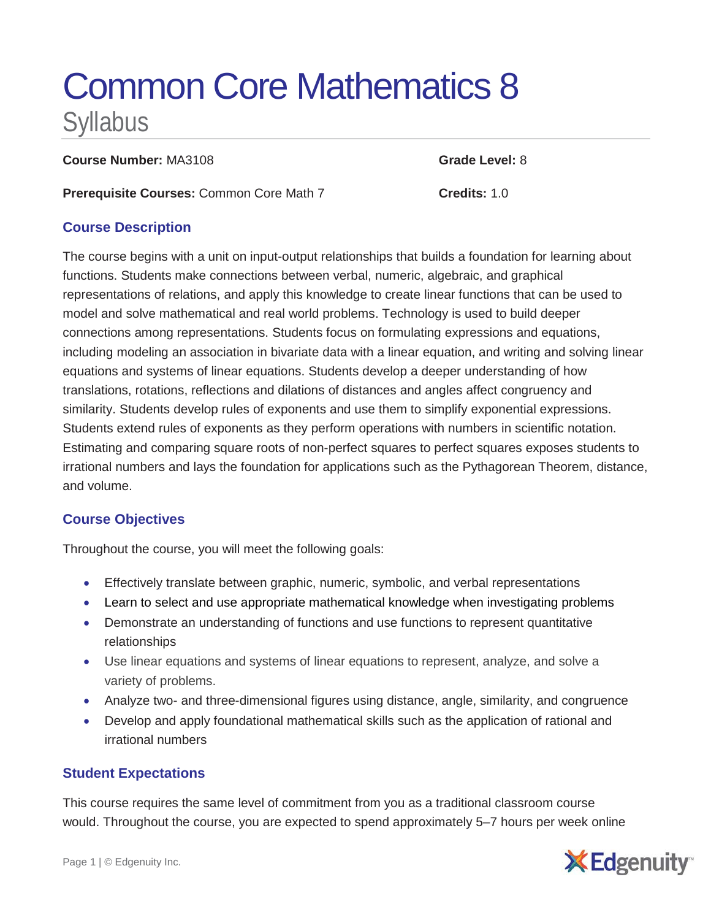# Common Core Mathematics 8 Syllabus

**Course Number:** MA3108 **Grade Level:** 8

**Prerequisite Courses:** Common Core Math 7 **Credits:** 1.0

## **Course Description**

The course begins with a unit on input-output relationships that builds a foundation for learning about functions. Students make connections between verbal, numeric, algebraic, and graphical representations of relations, and apply this knowledge to create linear functions that can be used to model and solve mathematical and real world problems. Technology is used to build deeper connections among representations. Students focus on formulating expressions and equations, including modeling an association in bivariate data with a linear equation, and writing and solving linear equations and systems of linear equations. Students develop a deeper understanding of how translations, rotations, reflections and dilations of distances and angles affect congruency and similarity. Students develop rules of exponents and use them to simplify exponential expressions. Students extend rules of exponents as they perform operations with numbers in scientific notation. Estimating and comparing square roots of non-perfect squares to perfect squares exposes students to irrational numbers and lays the foundation for applications such as the Pythagorean Theorem, distance, and volume.

### **Course Objectives**

Throughout the course, you will meet the following goals:

- Effectively translate between graphic, numeric, symbolic, and verbal representations
- Learn to select and use appropriate mathematical knowledge when investigating problems
- Demonstrate an understanding of functions and use functions to represent quantitative relationships
- Use linear equations and systems of linear equations to represent, analyze, and solve a variety of problems.
- Analyze two- and three-dimensional figures using distance, angle, similarity, and congruence
- Develop and apply foundational mathematical skills such as the application of rational and irrational numbers

### **Student Expectations**

This course requires the same level of commitment from you as a traditional classroom course would. Throughout the course, you are expected to spend approximately 5–7 hours per week online